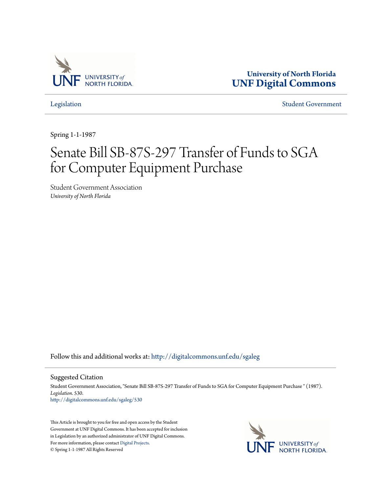

**University of North Florida [UNF Digital Commons](http://digitalcommons.unf.edu?utm_source=digitalcommons.unf.edu%2Fsgaleg%2F530&utm_medium=PDF&utm_campaign=PDFCoverPages)**

[Legislation](http://digitalcommons.unf.edu/sgaleg?utm_source=digitalcommons.unf.edu%2Fsgaleg%2F530&utm_medium=PDF&utm_campaign=PDFCoverPages) [Student Government](http://digitalcommons.unf.edu/sga?utm_source=digitalcommons.unf.edu%2Fsgaleg%2F530&utm_medium=PDF&utm_campaign=PDFCoverPages)

Spring 1-1-1987

## Senate Bill SB-87S-297 Transfer of Funds to SGA for Computer Equipment Purchase

Student Government Association *University of North Florida*

Follow this and additional works at: [http://digitalcommons.unf.edu/sgaleg](http://digitalcommons.unf.edu/sgaleg?utm_source=digitalcommons.unf.edu%2Fsgaleg%2F530&utm_medium=PDF&utm_campaign=PDFCoverPages)

Suggested Citation

Student Government Association, "Senate Bill SB-87S-297 Transfer of Funds to SGA for Computer Equipment Purchase " (1987). *Legislation*. 530. [http://digitalcommons.unf.edu/sgaleg/530](http://digitalcommons.unf.edu/sgaleg/530?utm_source=digitalcommons.unf.edu%2Fsgaleg%2F530&utm_medium=PDF&utm_campaign=PDFCoverPages)

This Article is brought to you for free and open access by the Student Government at UNF Digital Commons. It has been accepted for inclusion in Legislation by an authorized administrator of UNF Digital Commons. For more information, please contact [Digital Projects](mailto:lib-digital@unf.edu). © Spring 1-1-1987 All Rights Reserved